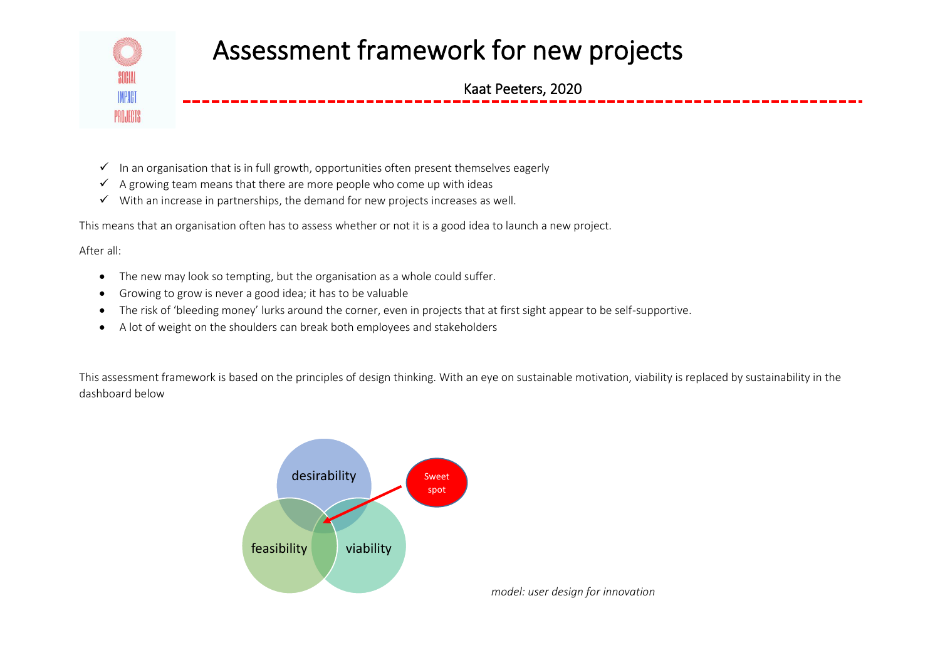

- $\checkmark$  In an organisation that is in full growth, opportunities often present themselves eagerly
- $\checkmark$  A growing team means that there are more people who come up with ideas
- $\checkmark$  With an increase in partnerships, the demand for new projects increases as well.

This means that an organisation often has to assess whether or not it is a good idea to launch a new project.

After all:

- The new may look so tempting, but the organisation as a whole could suffer.
- Growing to grow is never a good idea; it has to be valuable
- The risk of 'bleeding money' lurks around the corner, even in projects that at first sight appear to be self-supportive.
- A lot of weight on the shoulders can break both employees and stakeholders

This assessment framework is based on the principles of design thinking. With an eye on sustainable motivation, viability is replaced by sustainability in the dashboard below

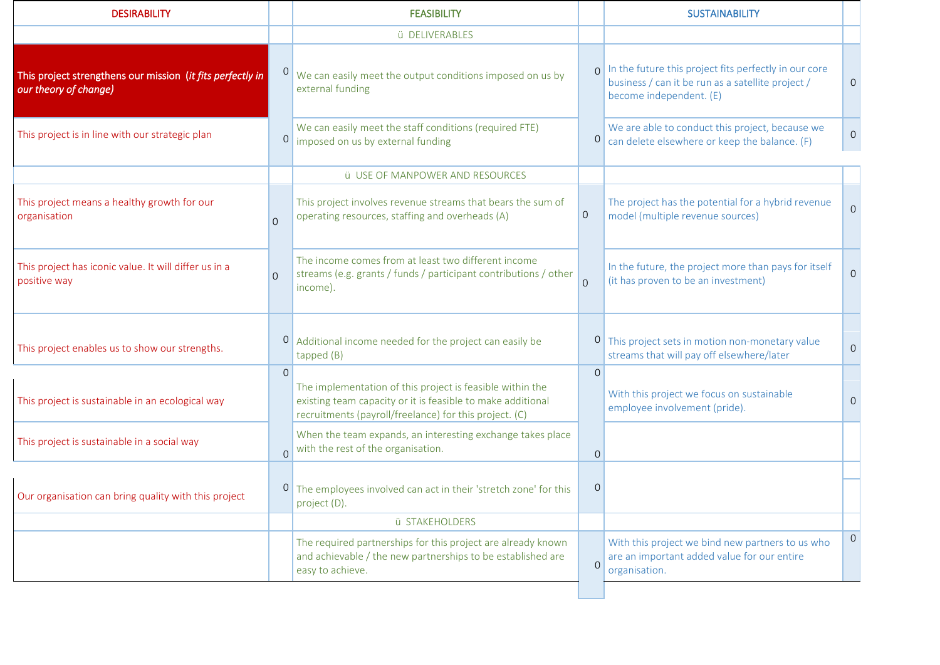| <b>DESIRABILITY</b>                                                                 |                | <b>FEASIBILITY</b>                                                                                                                                                                 |                | <b>SUSTAINABILITY</b>                                                                                                                 |                |
|-------------------------------------------------------------------------------------|----------------|------------------------------------------------------------------------------------------------------------------------------------------------------------------------------------|----------------|---------------------------------------------------------------------------------------------------------------------------------------|----------------|
|                                                                                     |                | ü DELIVERABLES                                                                                                                                                                     |                |                                                                                                                                       |                |
| This project strengthens our mission (it fits perfectly in<br>our theory of change) |                | We can easily meet the output conditions imposed on us by<br>external funding                                                                                                      | $\Omega$       | In the future this project fits perfectly in our core<br>business / can it be run as a satellite project /<br>become independent. (E) | $\overline{0}$ |
| This project is in line with our strategic plan                                     | $\overline{O}$ | We can easily meet the staff conditions (required FTE)<br>imposed on us by external funding                                                                                        | 0              | We are able to conduct this project, because we<br>can delete elsewhere or keep the balance. (F)                                      | $\overline{0}$ |
|                                                                                     |                | <b>ü</b> USE OF MANPOWER AND RESOURCES                                                                                                                                             |                |                                                                                                                                       |                |
| This project means a healthy growth for our<br>organisation                         | $\Omega$       | This project involves revenue streams that bears the sum of<br>operating resources, staffing and overheads (A)                                                                     | $\overline{0}$ | The project has the potential for a hybrid revenue<br>model (multiple revenue sources)                                                | $\overline{0}$ |
| This project has iconic value. It will differ us in a<br>positive way               | $\Omega$       | The income comes from at least two different income<br>streams (e.g. grants / funds / participant contributions / other<br>income).                                                | $\Omega$       | In the future, the project more than pays for itself<br>(it has proven to be an investment)                                           | $\Omega$       |
| This project enables us to show our strengths.                                      | $\overline{O}$ | Additional income needed for the project can easily be<br>tapped (B)                                                                                                               | $\cup$         | This project sets in motion non-monetary value<br>streams that will pay off elsewhere/later                                           | $\overline{O}$ |
| This project is sustainable in an ecological way                                    | $\Omega$       | The implementation of this project is feasible within the<br>existing team capacity or it is feasible to make additional<br>recruitments (payroll/freelance) for this project. (C) | $\Omega$       | With this project we focus on sustainable<br>employee involvement (pride).                                                            | $\Omega$       |
| This project is sustainable in a social way                                         | $\overline{O}$ | When the team expands, an interesting exchange takes place<br>with the rest of the organisation.                                                                                   | $\overline{O}$ |                                                                                                                                       |                |
| Our organisation can bring quality with this project                                |                | <sup>0</sup> The employees involved can act in their 'stretch zone' for this<br>project (D).                                                                                       | $\mathbf 0$    |                                                                                                                                       |                |
|                                                                                     |                | ü STAKEHOLDERS                                                                                                                                                                     |                |                                                                                                                                       |                |
|                                                                                     |                | The required partnerships for this project are already known<br>and achievable / the new partnerships to be established are<br>easy to achieve.                                    | $\overline{0}$ | With this project we bind new partners to us who<br>are an important added value for our entire<br>organisation.                      | $\mathbf{0}$   |
|                                                                                     |                |                                                                                                                                                                                    |                |                                                                                                                                       |                |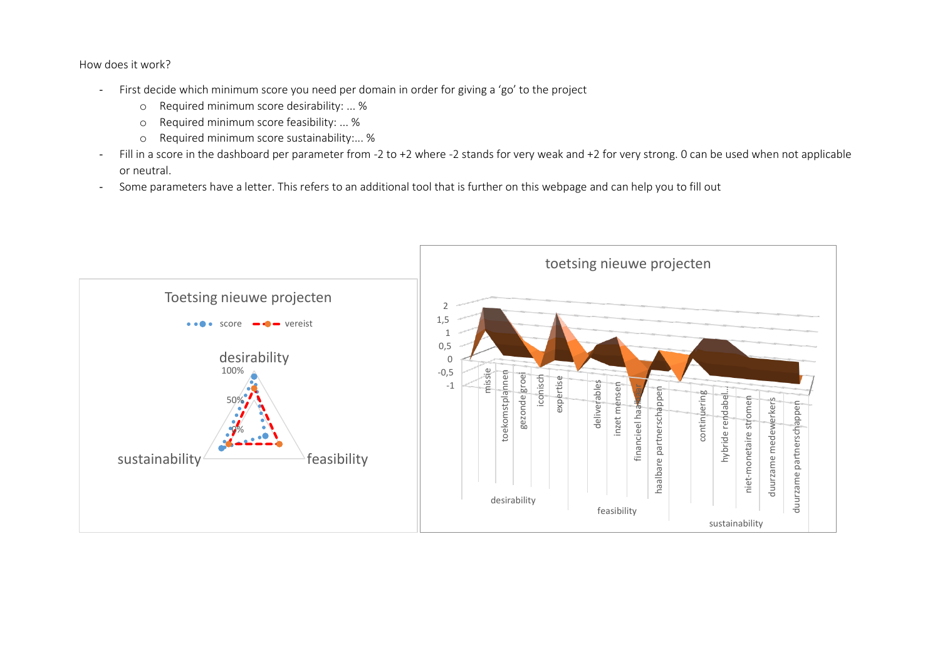How does it work?

- First decide which minimum score you need per domain in order for giving a 'go' to the project
	- o Required minimum score desirability: ... %
	- o Required minimum score feasibility: ... %
	- o Required minimum score sustainability:... %
- Fill in a score in the dashboard per parameter from -2 to +2 where -2 stands for very weak and +2 for very strong. 0 can be used when not applicable or neutral.
- Some parameters have a letter. This refers to an additional tool that is further on this webpage and can help you to fill out

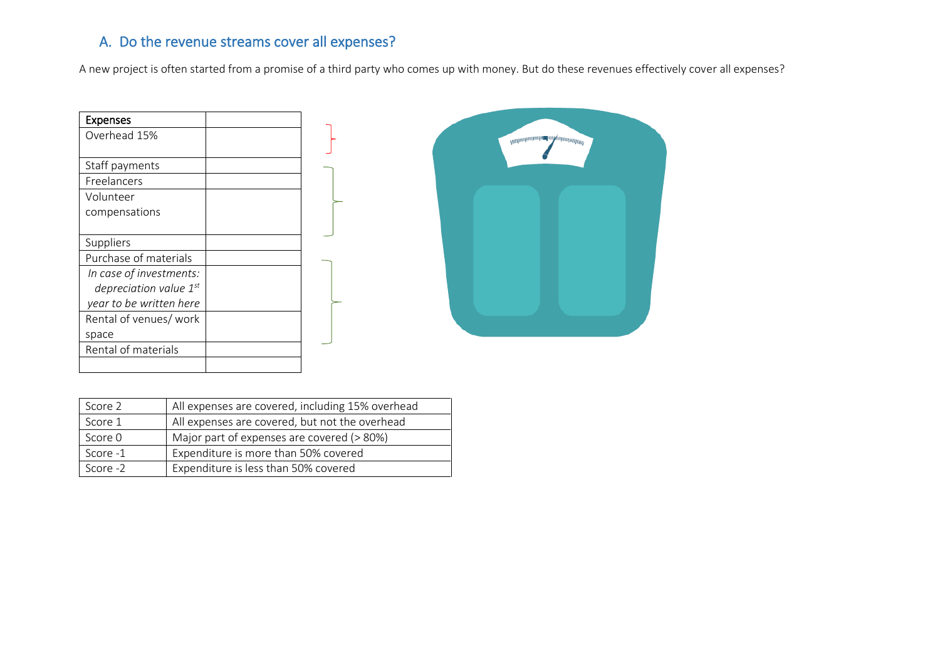## A. Do the revenue streams cover all expenses?

A new project is often started from a promise of a third party who comes up with money. But do these revenues effectively cover all expenses?

| <b>Expenses</b>             |  |
|-----------------------------|--|
| Overhead 15%                |  |
|                             |  |
| Staff payments              |  |
| Freelancers                 |  |
| Volunteer                   |  |
| compensations               |  |
|                             |  |
| Suppliers                   |  |
| Purchase of materials       |  |
| In case of investments:     |  |
| depreciation value $1^{st}$ |  |
| year to be written here     |  |
| Rental of venues/ work      |  |
| space                       |  |
| Rental of materials         |  |
|                             |  |



| Score 2  | All expenses are covered, including 15% overhead |  |
|----------|--------------------------------------------------|--|
| Score 1  | All expenses are covered, but not the overhead   |  |
| Score 0  | Major part of expenses are covered (> 80%)       |  |
| Score -1 | Expenditure is more than 50% covered             |  |
| Score -2 | Expenditure is less than 50% covered             |  |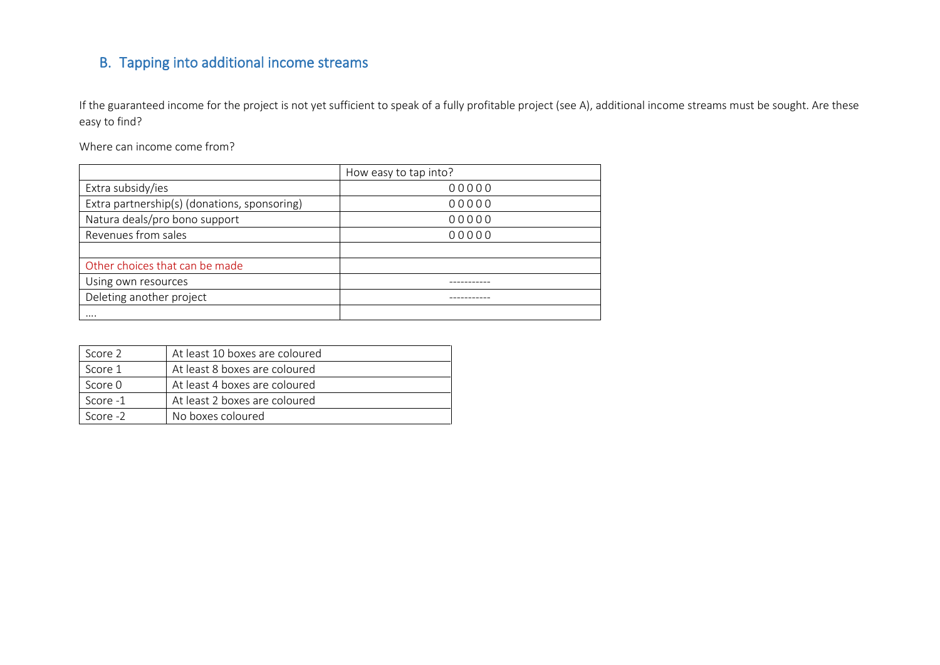# B. Tapping into additional income streams

If the guaranteed income for the project is not yet sufficient to speak of a fully profitable project (see A), additional income streams must be sought. Are these easy to find?

Where can income come from?

|                                              | How easy to tap into? |  |
|----------------------------------------------|-----------------------|--|
| Extra subsidy/ies                            | 00000                 |  |
| Extra partnership(s) (donations, sponsoring) | 00000                 |  |
| Natura deals/pro bono support                | 00000                 |  |
| Revenues from sales                          | 00000                 |  |
|                                              |                       |  |
| Other choices that can be made               |                       |  |
| Using own resources                          |                       |  |
| Deleting another project                     |                       |  |
|                                              |                       |  |

| Score 2    | At least 10 boxes are coloured |
|------------|--------------------------------|
| Score 1    | At least 8 boxes are coloured  |
| Score 0    | At least 4 boxes are coloured  |
| Score -1   | At least 2 boxes are coloured  |
| Score $-2$ | No boxes coloured              |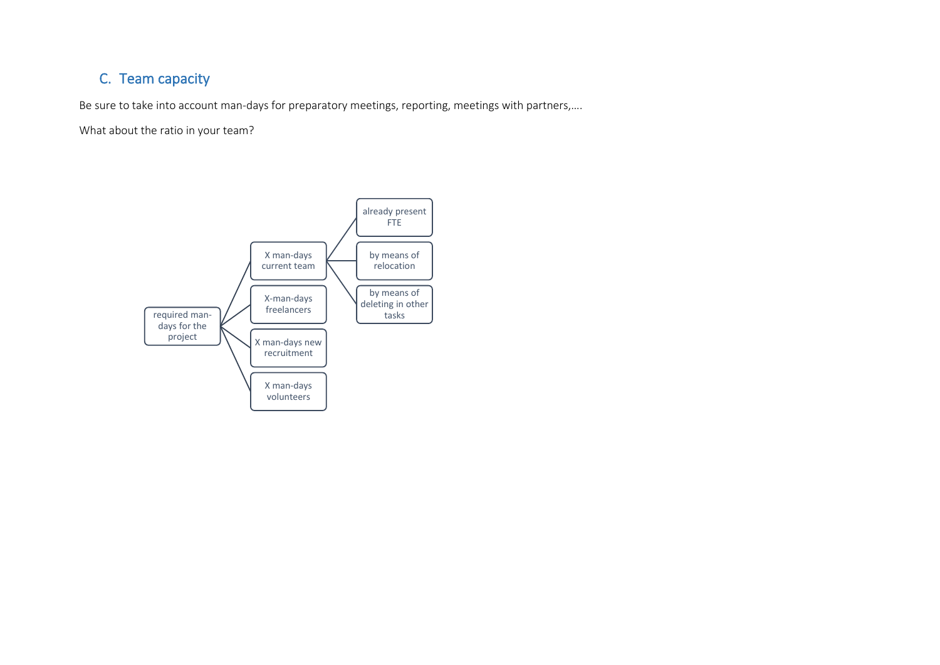# C. Team capacity

Be sure to take into account man-days for preparatory meetings, reporting, meetings with partners,….

What about the ratio in your team?

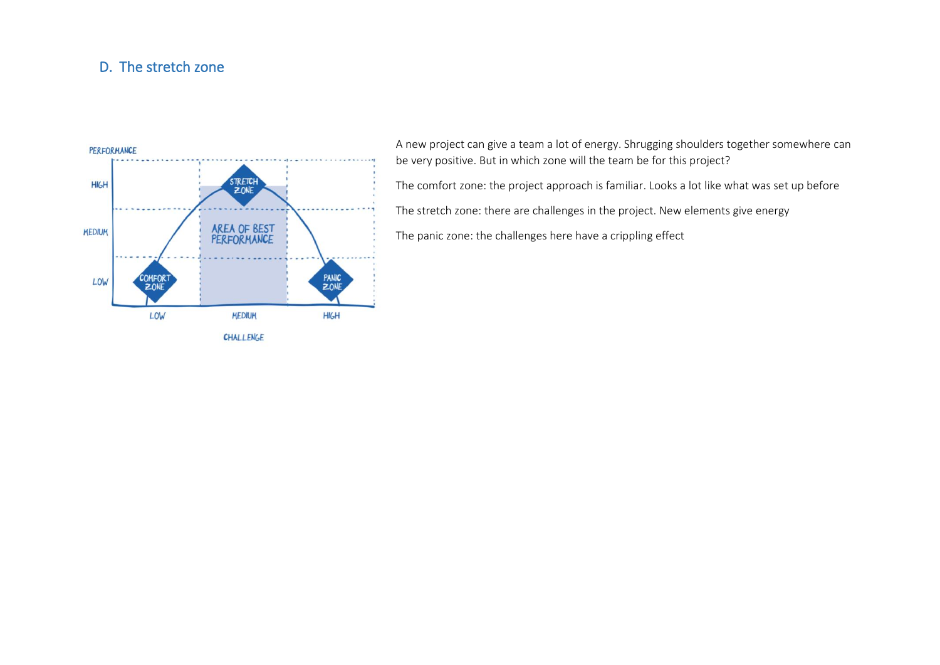### D. The stretch zone



A new project can give a team a lot of energy. Shrugging shoulders together somewhere can be very positive. But in which zone will the team be for this project? The comfort zone: the project approach is familiar. Looks a lot like what was set up before The stretch zone: there are challenges in the project. New elements give energy The panic zone: the challenges here have a crippling effect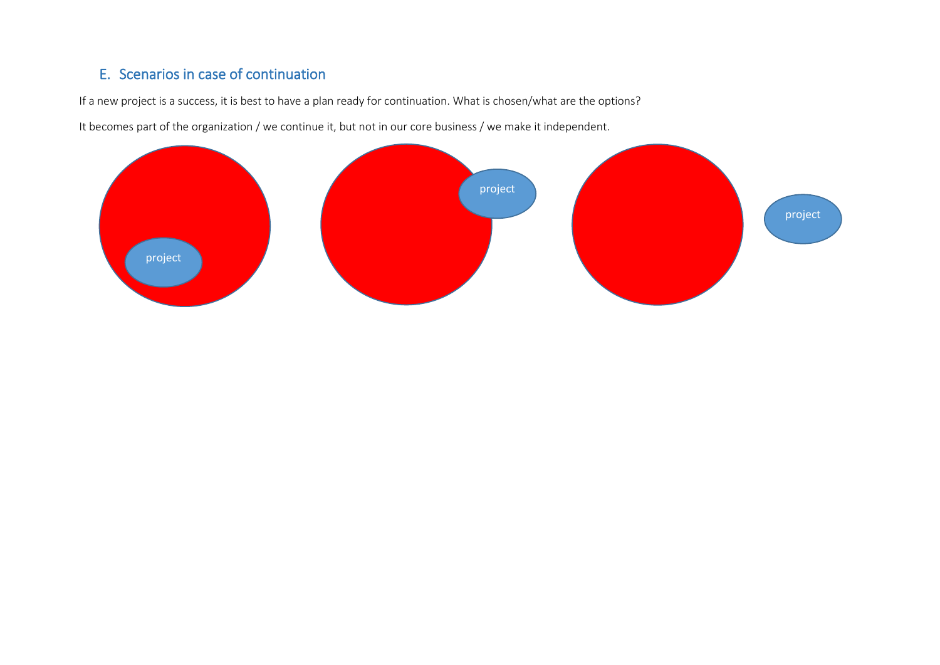## E. Scenarios in case of continuation

If a new project is a success, it is best to have a plan ready for continuation. What is chosen/what are the options?

It becomes part of the organization / we continue it, but not in our core business / we make it independent.

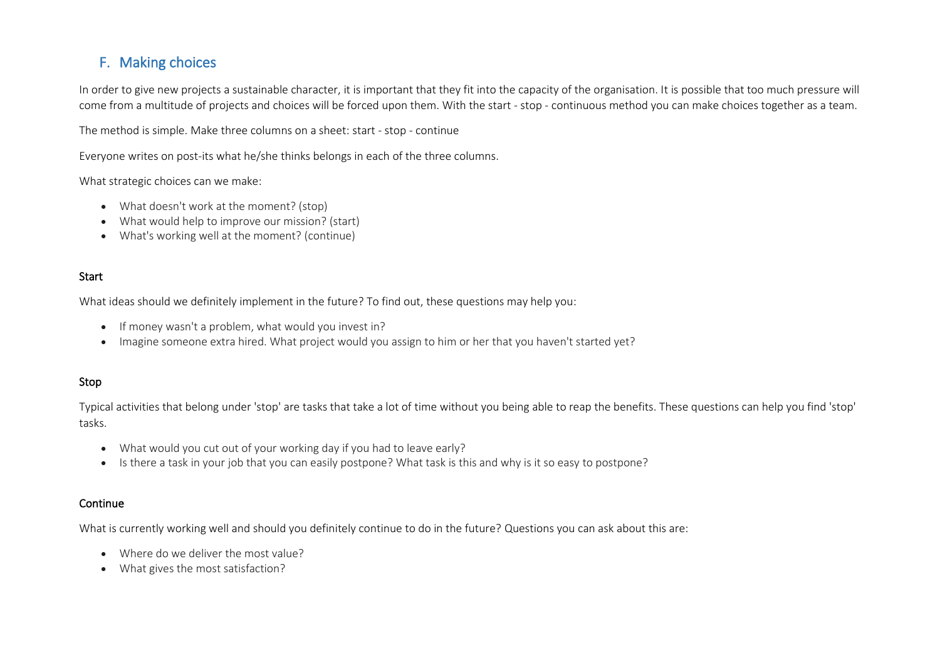## F. Making choices

In order to give new projects a sustainable character, it is important that they fit into the capacity of the organisation. It is possible that too much pressure will come from a multitude of projects and choices will be forced upon them. With the start - stop - continuous method you can make choices together as a team.

The method is simple. Make three columns on a sheet: start - stop - continue

Everyone writes on post-its what he/she thinks belongs in each of the three columns.

What strategic choices can we make:

- What doesn't work at the moment? (stop)
- What would help to improve our mission? (start)
- What's working well at the moment? (continue)

#### **Start**

What ideas should we definitely implement in the future? To find out, these questions may help you:

- If money wasn't a problem, what would you invest in?
- Imagine someone extra hired. What project would you assign to him or her that you haven't started yet?

#### Stop

Typical activities that belong under 'stop' are tasks that take a lot of time without you being able to reap the benefits. These questions can help you find 'stop' tasks.

- What would you cut out of your working day if you had to leave early?
- Is there a task in your job that you can easily postpone? What task is this and why is it so easy to postpone?

#### Continue

What is currently working well and should you definitely continue to do in the future? Questions you can ask about this are:

- Where do we deliver the most value?
- What gives the most satisfaction?